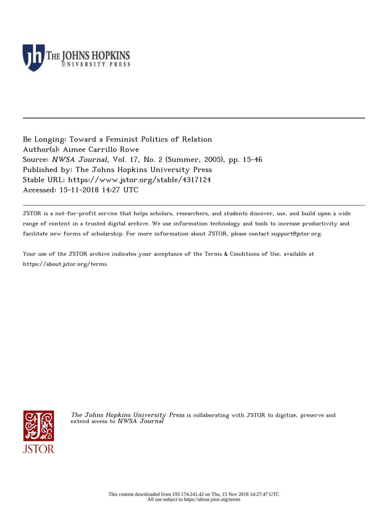

Be Longing: Toward a Feminist Politics of Relation Author(s): Aimee Carrillo Rowe Source: NWSA Journal, Vol. 17, No. 2 (Summer, 2005), pp. 15-46 Published by: The Johns Hopkins University Press Stable URL: https://www.jstor.org/stable/4317124 Accessed: 15-11-2018 14:27 UTC

JSTOR is a not-for-profit service that helps scholars, researchers, and students discover, use, and build upon a wide range of content in a trusted digital archive. We use information technology and tools to increase productivity and facilitate new forms of scholarship. For more information about JSTOR, please contact support@jstor.org.

Your use of the JSTOR archive indicates your acceptance of the Terms & Conditions of Use, available at https://about.jstor.org/terms



The Johns Hopkins University Press is collaborating with JSTOR to digitize, preserve and extend access to NWSA Journal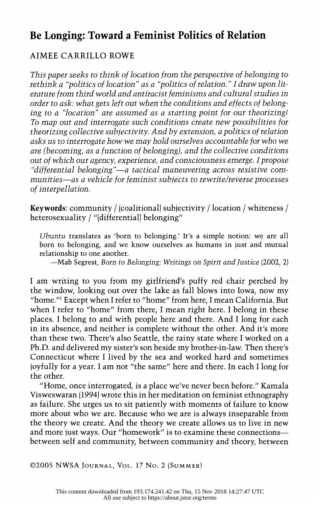# Be Longing: Toward a Feminist Politics of Relation

### AIMEE CARRILLO ROWE

 This paper seeks to think of location from the perspective of belonging to rethink a "politics of location" as a "politics of relation. " I draw upon lit erature from third world and antiracist feminisms and cultural studies in order to ask: what gets left out when the conditions and effects of belong ing to a "location" are assumed as a starting point for our theorizing? To map out and interrogate such conditions create new possibilities for theorizing collective subjectivity. And by extension, a politics of relation asks us to interrogate how we may hold ourselves accountable for who we are (becoming, as a function of belonging), and the collective conditions out of which our agency, experience, and consciousness emerge. I propose "differential belonging"—a tactical maneuvering across resistive communities—as a vehicle for feminist subjects to rewrite/reverse processes of interpellation.

 Keywords: community / (coalitional) subjectivity / location / whiteness / heterosexuality / "(differential) belonging"

 Ubuntu translates as 'born to belonging.' It's a simple notion: we are all born to belonging, and we know ourselves as humans in just and mutual relationship to one another.

-Mab Segrest, Born to Belonging: Writings on Spirit and fustice (2002, 2)

 I am writing to you from my girlfriend's puffy red chair perched by the window, looking out over the lake as fall blows into Iowa, now my "home."' Except when I refer to "home" from here, I mean California. But when I refer to "home" from there, I mean right here. I belong in these places. I belong to and with people here and there. And I long for each in its absence, and neither is complete without the other. And it's more than these two. There's also Seattle, the rainy state where I worked on a Ph.D. and delivered my sister's son beside my brother-in-law. Then there's Connecticut where I lived by the sea and worked hard and sometimes joyfully for a year. I am not "the same" here and there. In each I long for the other.

 "Home, once interrogated, is a place we've never been before." Kamala Visweswaran (1994) wrote this in her meditation on feminist ethnography as failure. She urges us to sit patiently with moments of failure to know more about who we are. Because who we are is always inseparable from the theory we create. And the theory we create allows us to live in new and more just ways. Our "homework" is to examine these connectionsbetween self and community, between community and theory, between

C2005 NWSA JOURNAL, VOL. 17 No. 2 (SUMMER)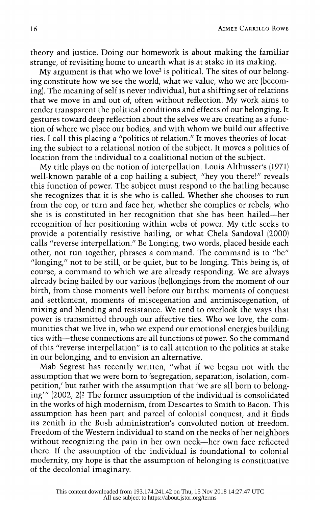theory and justice. Doing our homework is about making the familiar strange, of revisiting home to unearth what is at stake in its making.

 $Mv$  argument is that who we love<sup>2</sup> is political. The sites of our belong ing constitute how we see the world, what we value, who we are (becom ing). The meaning of self is never individual, but a shifting set of relations that we move in and out of, often without reflection. My work aims to render transparent the political conditions and effects of our belonging. It gestures toward deep reflection about the selves we are creating as a func tion of where we place our bodies, and with whom we build our affective ties. I call this placing a "politics of relation." It moves theories of locat ing the subject to a relational notion of the subject. It moves a politics of location from the individual to a coalitional notion of the subject.

 My title plays on the notion of interpellation. Louis Althusser's (1971) well-known parable of a cop hailing a subject, "hey you there!" reveals this function of power. The subject must respond to the hailing because she recognizes that it is she who is called. Whether she chooses to run from the cop, or turn and face her, whether she complies or rebels, who she is is constituted in her recognition that she has been hailed-her recognition of her positioning within webs of power. My title seeks to provide a potentially resistive hailing, or what Chela Sandoval (2000) calls "reverse interpellation." Be Longing, two words, placed beside each other, not run together, phrases a command. The command is to "be" "longing," not to be still, or be quiet, but to be longing. This being is, of course, a command to which we are already responding. We are always already being hailed by our various (be)longings from the moment of our birth, from those moments well before our births: moments of conquest and settlement, moments of miscegenation and antimiscegenation, of mixing and blending and resistance. We tend to overlook the ways that power is transmitted through our affective ties. Who we love, the com munities that we live in, who we expend our emotional energies building ties with-these connections are all functions of power. So the command of this "reverse interpellation" is to call attention to the politics at stake in our belonging, and to envision an alternative.

 Mab Segrest has recently written, "what if we began not with the assumption that we were born to 'segregation, separation, isolation, com petition,' but rather with the assumption that 'we are all born to belong ing"' (2002, 2)? The former assumption of the individual is consolidated in the works of high modernism, from Descartes to Smith to Bacon. This assumption has been part and parcel of colonial conquest, and it finds its zenith in the Bush administration's convoluted notion of freedom. Freedom of the Western individual to stand on the necks of her neighbors without recognizing the pain in her own neck-her own face reflected there. If the assumption of the individual is foundational to colonial modernity, my hope is that the assumption of belonging is constituative of the decolonial imaginary.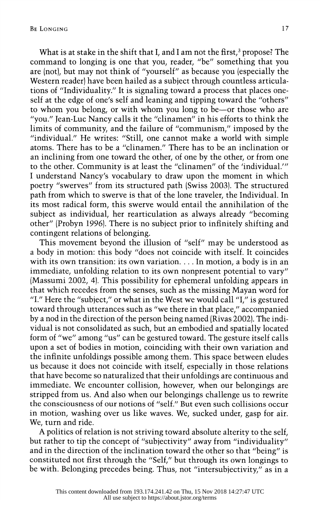Longing<br>What is at stake in the shift that I, and I am not the first,<sup>3</sup> propose? The<br>mmand to longing is one that you, reader, "be" something that you command to longing is one that you, reader, "be" something that you are (not), but may not think of "yourself" as because you (especially the Western reader) have been hailed as a subject through countless articula tions of "Individuality." It is signaling toward a process that places one self at the edge of one's self and leaning and tipping toward the "others" to whom you belong, or with whom you long to be-or those who are "you." Jean-Luc Nancy calls it the "clinamen" in his efforts to think the limits of community, and the failure of "communism," imposed by the "individual." He writes: "Still, one cannot make a world with simple atoms. There has to be a "clinamen." There has to be an inclination or an inclining from one toward the other, of one by the other, or from one to the other. Community is at least the "clinamen" of the 'individual."' I understand Nancy's vocabulary to draw upon the moment in which poetry "swerves" from its structured path (Swiss 2003). The structured path from which to swerve is that of the lone traveler, the Individual. In its most radical form, this swerve would entail the annihilation of the subject as individual, her rearticulation as always already "becoming other" (Probyn 1996). There is no subject prior to infinitely shifting and contingent relations of belonging.

 This movement beyond the illusion of "self" may be understood as a body in motion: this body "does not coincide with itself. It coincides with its own transition: its own variation. ... In motion, a body is in an immediate, unfolding relation to its own nonpresent potential to vary" (Massumi 2002, 4). This possibility for ephemeral unfolding appears in that which recedes from the senses, such as the missing Mayan word for "I." Here the "subject," or what in the West we would call "I," is gestured toward through utterances such as "we there in that place," accompanied by a nod in the direction of the person being named (Rivas 2002). The indi vidual is not consolidated as such, but an embodied and spatially located form of "we" among "us" can be gestured toward. The gesture itself calls upon a set of bodies in motion, coinciding with their own variation and the infinite unfoldings possible among them. This space between eludes us because it does not coincide with itself, especially in those relations that have become so naturalized that their unfoldings are continuous and immediate. We encounter collision, however, when our belongings are stripped from us. And also when our belongings challenge us to rewrite the consciousness of our notions of "self." But even such collisions occur in motion, washing over us like waves. We, sucked under, gasp for air. We, turn and ride.

 A politics of relation is not striving toward absolute alterity to the self, but rather to tip the concept of "subjectivity" away from "individuality" and in the direction of the inclination toward the other so that "being" is constituted not first through the "Self," but through its own longings to be with. Belonging precedes being. Thus, not "intersubjectivity," as in a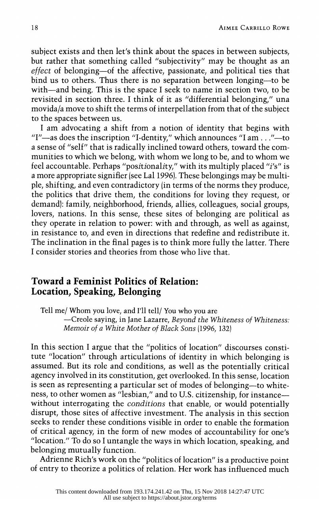subject exists and then let's think about the spaces in between subjects,<br>but arthor that corrective called "exhigativity" may be thought as an but rather that something called "subjectivity" may be thought as an effect of belonging-of the affective, passionate, and political ties that bind us to others. Thus there is no separation between longing-to be with—and being. This is the space I seek to name in section two, to be revisited in section three. I think of it as "differential belonging," una movida/a move to shift the terms of interpellation from that of the subject to the spaces between us.

 I am advocating a shift from a notion of identity that begins with "I"-as does the inscription "I-dentity," which announces "I am . . ."-- to a sense of "self" that is radically inclined toward others, toward the com munities to which we belong, with whom we long to be, and to whom we feel accountable. Perhaps "positionality," with its multiply placed "i's" is a more appropriate signifier (see Lal 1996). These belongings may be multi ple, shifting, and even contradictory (in terms of the norms they produce, the politics that drive them, the conditions for loving they request, or demand): family, neighborhood, friends, allies, colleagues, social groups, lovers, nations. In this sense, these sites of belonging are political as they operate in relation to power: with and through, as well as against, in resistance to, and even in directions that redefine and redistribute it. The inclination in the final pages is to think more fully the latter. There I consider stories and theories from those who live that.

### Toward a Feminist Politics of Relation: Location, Speaking, Belonging

 Tell me/ Whom you love, and I'll tell/ You who you are Creole saying, in Jane Lazarre, Beyond the Whiteness of Whiteness: Memoir of a White Mother of Black Sons (1996, 132)

 In this section I argue that the "politics of location" discourses consti tute "location" through articulations of identity in which belonging is assumed. But its role and conditions, as well as the potentially critical agency involved in its constitution, get overlooked. In this sense, location is seen as representing a particular set of modes of belonging-to white ness, to other women as "lesbian," and to U.S. citizenship, for instance without interrogating the conditions that enable, or would potentially disrupt, those sites of affective investment. The analysis in this section seeks to render these conditions visible in order to enable the formation of critical agency, in the form of new modes of accountability for one's "location." To do so I untangle the ways in which location, speaking, and belonging mutually function.

 Adrienne Rich's work on the "politics of location" is a productive point of entry to theorize a politics of relation. Her work has influenced much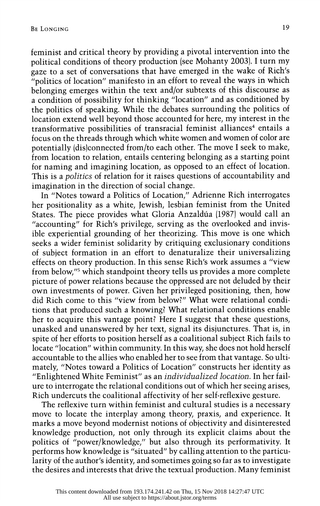<sup>19</sup><br>feminist and critical theory by providing a pivotal intervention into the<br>political conditions of theory production (see Mohanty 2003). I turn my feminist and critical theory by providing a pivotal intervention into the political conditions of theory production (see Mohanty 2003). I turn my<br>gaze to a set of conversations that have emerged in the wake of Rich's gaze to a set of conversations that have emerged in the wake of Rich's "politics of location" manifesto in an effort to reveal the ways in which belonging emerges within the text and/or subtexts of this discourse as a condition of possibility for thinking "location" and as conditioned by the politics of speaking. While the debates surrounding the politics of location extend well beyond those accounted for here, my interest in the transformative possibilities of transracial feminist alliances<sup>4</sup> entails a focus on the threads through which white women and women of color are potentially (dis)connected from/to each other. The move I seek to make, from location to relation, entails centering belonging as a starting point for naming and imagining location, as opposed to an effect of location. This is a politics of relation for it raises questions of accountability and imagination in the direction of social change.

 In "Notes toward a Politics of Location," Adrienne Rich interrogates her positionality as a white, Jewish, lesbian feminist from the United States. The piece provides what Gloria Anzaldúa (1987) would call an "accounting" for Rich's privilege, serving as the overlooked and invis ible experiential grounding of her theorizing. This move is one which seeks a wider feminist solidarity by critiquing exclusionary conditions of subject formation in an effort to denaturalize their universalizing effects on theory production. In this sense Rich's work assumes a "view from below,"5 which standpoint theory tells us provides a more complete picture of power relations because the oppressed are not deluded by their own investments of power. Given her privileged positioning, then, how did Rich come to this "view from below?" What were relational condi tions that produced such a knowing? What relational conditions enable her to acquire this vantage point? Here I suggest that these questions, unasked and unanswered by her text, signal its disjunctures. That is, in spite of her efforts to position herself as a coalitional subject Rich fails to locate "location" within community. In this way, she does not hold herself accountable to the allies who enabled her to see from that vantage. So ulti mately, "Notes toward a Politics of Location" constructs her identity as "Enlightened White Feminist" as an individualized location. In her fail ure to interrogate the relational conditions out of which her seeing arises, Rich undercuts the coalitional affectivity of her self-reflexive gesture.

 The reflexive turn within feminist and cultural studies is a necessary move to locate the interplay among theory, praxis, and experience. It marks a move beyond modernist notions of objectivity and disinterested knowledge production, not only through its explicit claims about the politics of "power/knowledge," but also through its performativity. It performs how knowledge is "situated" by calling attention to the particu larity of the author's identity, and sometimes going so far as to investigate the desires and interests that drive the textual production. Many feminist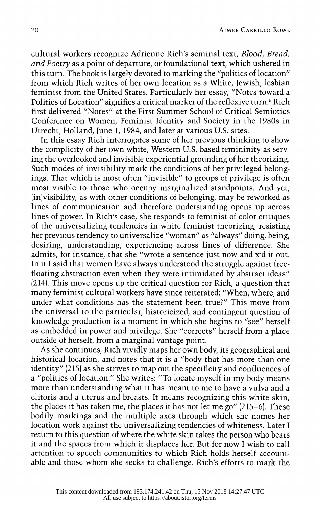cultural workers recognize Adrienne Rich's seminal text, Blood, Bread, and Poetry as a point of departure, or foundational text, which ushered in this turn. The book is largely devoted to marking the "politics of location" from which Rich writes of her own location as a White, Jewish, lesbian feminist from the United States. Particularly her essay, "Notes toward a Politics of Location" signifies a critical marker of the reflexive turn.<sup>6</sup> Rich first delivered "Notes" at the First Summer School of Critical Semiotics Conference on Women, Feminist Identity and Society in the 1980s in Utrecht, Holland, June 1, 1984, and later at various U.S. sites.

 In this essay Rich interrogates some of her previous thinking to show the complicity of her own white, Western U.S.-based femininity as serv ing the overlooked and invisible experiential grounding of her theorizing. Such modes of invisibility mark the conditions of her privileged belong ings. That which is most often "invisible" to groups of privilege is often most visible to those who occupy marginalized standpoints. And yet, (in)visibility, as with other conditions of belonging, may be reworked as lines of communication and therefore understanding opens up across lines of power. In Rich's case, she responds to feminist of color critiques of the universalizing tendencies in white feminist theorizing, resisting her previous tendency to universalize "woman" as "always" doing, being, desiring, understanding, experiencing across lines of difference. She admits, for instance, that she "wrote a sentence just now and x'd it out. In it I said that women have always understood the struggle against free floating abstraction even when they were intimidated by abstract ideas" (214). This move opens up the critical question for Rich, a question that many feminist cultural workers have since reiterated: "When, where, and under what conditions has the statement been true?" This move from the universal to the particular, historicized, and contingent question of knowledge production is a moment in which she begins to "see" herself as embedded in power and privilege. She "corrects" herself from a place outside of herself, from a marginal vantage point.

 As she continues, Rich vividly maps her own body, its geographical and historical location, and notes that it is a "body that has more than one identity" (215) as she strives to map out the specificity and confluences of a "politics of location." She writes: "To locate myself in my body means more than understanding what it has meant to me to have a vulva and a clitoris and a uterus and breasts. It means recognizing this white skin, the places it has taken me, the places it has not let me go" (215-6). These bodily markings and the multiple axes through which she names her location work against the universalizing tendencies of whiteness. Later I return to this question of where the white skin takes the person who bears it and the spaces from which it displaces her. But for now I wish to call attention to speech communities to which Rich holds herself account able and those whom she seeks to challenge. Rich's efforts to mark the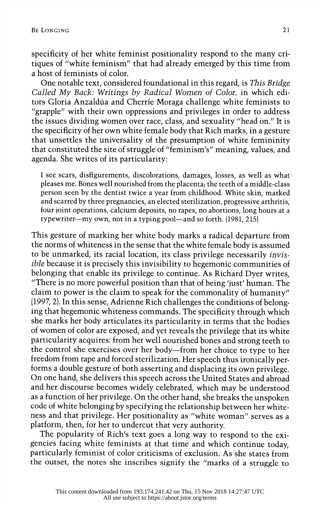BE LONGING<br>specificity of her white feminist positionality respond to the many cri-<br>tiques of "white feminism" that had already emerged by this time from specificity of her white feminist positionality respond to the many critiques of "white feminism" that had already emerged by this time from<br>a host of feminists of color. a host of feminists of color.

 One notable text, considered foundational in this regard, is This Bridge Called My Back: Writings by Radical Women of Color, in which edi tors Gloria Anzaldúa and Cherríe Moraga challenge white feminists to "grapple" with their own oppressions and privileges in order to address the issues dividing women over race, class, and sexuality "head on." It is the specificity of her own white female body that Rich marks, in a gesture that unsettles the universality of the presumption of white femininity that constituted the site of struggle of "feminism's" meaning, values, and agenda. She writes of its particularity:

 I see scars, disfigurements, discolorations, damages, losses, as well as what pleases me. Bones well nourished from the placenta; the teeth of a middle-class person seen by the dentist twice a year from childhood. White skin, marked and scarred by three pregnancies, an elected sterilization, progressive arthritis, four joint operations, calcium deposits, no rapes, no abortions, long hours at a typewriter—my own, not in a typing pool—and so forth.  $(1981, 215)$ 

 This gesture of marking her white body marks a radical departure from the norms of whiteness in the sense that the white female body is assumed to be unmarked, its racial location, its class privilege necessarily invis ible because it is precisely this invisibility to hegemonic communities of belonging that enable its privilege to continue. As Richard Dyer writes, "There is no more powerful position than that of being 'just' human. The claim to power is the claim to speak for the commonality of humanity" (1997, 2). In this sense, Adrienne Rich challenges the conditions of belong ing that hegemonic whiteness commands. The specificity through which she marks her body articulates its particularity in terms that the bodies of women of color are exposed, and yet reveals the privilege that its white particularity acquires: from her well nourished bones and strong teeth to the control she exercises over her body-from her choice to type to her freedom from rape and forced sterilization. Her speech thus ironically per forms a double gesture of both asserting and displacing its own privilege. On one hand, she delivers this speech across the United States and abroad and her discourse becomes widely celebrated, which may be understood as a function of her privilege. On the other hand, she breaks the unspoken code of white belonging by specifying the relationship between her white ness and that privilege. Her positionality as "white woman" serves as a platform, then, for her to undercut that very authority.

 The popularity of Rich's text goes a long way to respond to the exi gencies facing white feminists at that time and which continue today, particularly feminist of color criticisms of exclusion. As she states from the outset, the notes she inscribes signify the "marks of a struggle to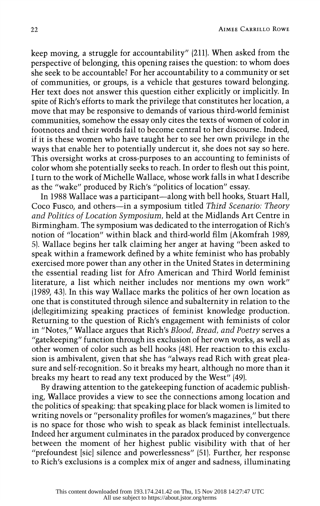keep moving, a struggle for accountability" (211). When asked from the<br>regrapestive of helanging, this apaping reject the question: to whem does perspective of belonging, this opening raises the question: to whom does she seek to be accountable? For her accountability to a community or set of communities, or groups, is a vehicle that gestures toward belonging. Her text does not answer this question either explicitly or implicitly. In spite of Rich's efforts to mark the privilege that constitutes her location, a move that may be responsive to demands of various third-world feminist communities, somehow the essay only cites the texts of women of color in footnotes and their words fail to become central to her discourse. Indeed, if it is these women who have taught her to see her own privilege in the ways that enable her to potentially undercut it, she does not say so here. This oversight works at cross-purposes to an accounting to feminists of color whom she potentially seeks to reach. In order to flesh out this point, I turn to the work of Michelle Wallace, whose work falls in what I describe as the "wake" produced by Rich's "politics of location" essay.

In 1988 Wallace was a participant—along with bell hooks, Stuart Hall, Coco Fusco, and others-in a symposium titled Third Scenario: Theory and Politics of Location Symposium, held at the Midlands Art Centre in Birmingham. The symposium was dedicated to the interrogation of Rich's notion of "location" within black and third-world film (Akomfrah 1989, 5). Wallace begins her talk claiming her anger at having "been asked to speak within a framework defined by a white feminist who has probably exercised more power than any other in the United States in determining the essential reading list for Afro American and Third World feminist literature, a list which neither includes nor mentions my own work" (1989, 43). In this way Wallace marks the politics of her own location as one that is constituted through silence and subalternity in relation to the (de)legitimizing speaking practices of feminist knowledge production. Returning to the question of Rich's engagement with feminists of color in "Notes," Wallace argues that Rich's Blood, Bread, and Poetry serves a "gatekeeping" function through its exclusion of her own works, as well as other women of color such as bell hooks (48). Her reaction to this exclu sion is ambivalent, given that she has "always read Rich with great plea sure and self-recognition. So it breaks my heart, although no more than it breaks my heart to read any text produced by the West" (49).

 By drawing attention to the gatekeeping function of academic publish ing, Wallace provides a view to see the connections among location and the politics of speaking: that speaking place for black women is limited to writing novels or "personality profiles for women's magazines," but there is no space for those who wish to speak as black feminist intellectuals. Indeed her argument culminates in the paradox produced by convergence between the moment of her highest public visibility with that of her "prefoundest [sic] silence and powerlessness" (51). Further, her response to Rich's exclusions is a complex mix of anger and sadness, illuminating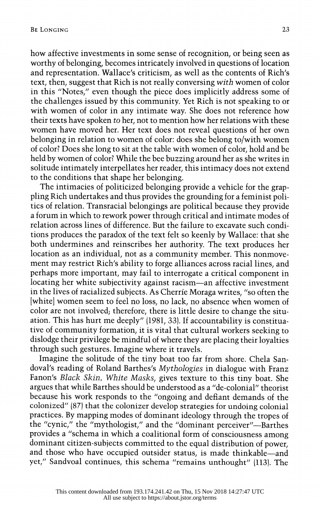BE LONGING<br>how affective investments in some sense of recognition, or being seen as<br>worthy of belonging, becomes intricately involved in questions of location how affective investments in some sense of recognition, or being seen as<br>worthy of belonging, becomes intricately involved in questions of location<br>and representation. Wallace's criticism, as well as the contents of Rich's and representation. Wallace's criticism, as well as the contents of Rich's text, then, suggest that Rich is not really conversing with women of color in this "Notes," even though the piece does implicitly address some of the challenges issued by this community. Yet Rich is not speaking to or with women of color in any intimate way. She does not reference how their texts have spoken to her, not to mention how her relations with these women have moved her. Her text does not reveal questions of her own belonging in relation to women of color: does she belong to/with women of color? Does she long to sit at the table with women of color, hold and be held by women of color? While the bee buzzing around her as she writes in solitude intimately interpellates her reader, this intimacy does not extend to the conditions that shape her belonging.

 The intimacies of politicized belonging provide a vehicle for the grap pling Rich undertakes and thus provides the grounding for a feminist poli tics of relation. Transracial belongings are political because they provide a forum in which to rework power through critical and intimate modes of relation across lines of difference. But the failure to excavate such condi tions produces the paradox of the text felt so keenly by Wallace: that she both undermines and reinscribes her authority. The text produces her location as an individual, not as a community member. This nonmove ment may restrict Rich's ability to forge alliances across racial lines, and perhaps more important, may fail to interrogate a critical component in locating her white subjectivity against racism—an affective investment in the lives of racialized subjects. As Cherrie Moraga writes, "so often the [white] women seem to feel no loss, no lack, no absence when women of color are not involved; therefore, there is little desire to change the situ ation. This has hurt me deeply" (1981, 33). If accountability is constitua tive of community formation, it is vital that cultural workers seeking to dislodge their privilege be mindful of where they are placing their loyalties through such gestures. Imagine where it travels.

 Imagine the solitude of the tiny boat too far from shore. Chela San doval's reading of Roland Barthes's Mythologies in dialogue with Franz Fanon's Black Skin, White Masks, gives texture to this tiny boat. She argues that while Barthes should be understood as a "de-colonial" theorist because his work responds to the "ongoing and defiant demands of the colonized" (87) that the colonizer develop strategies for undoing colonial practices. By mapping modes of dominant ideology through the tropes of the "cynic," the "mythologist," and the "dominant perceiver"-Barthes provides a "schema in which a coalitional form of consciousness among dominant citizen-subjects committed to the equal distribution of power, and those who have occupied outsider status, is made thinkable-and yet," Sandvoal continues, this schema "remains unthought" (113). The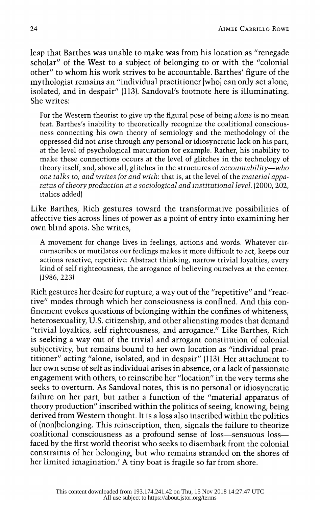leap that Barthes was unable to make was from his location as "renegade scholar" of the West to a subject of belonging to or with the "colonial other" to whom his work strives to be accountable. Barthes' figure of the mythologist remains an "individual practitioner [who] can only act alone, isolated, and in despair" (113). Sandoval's footnote here is illuminating. She writes:

For the Western theorist to give up the figural pose of being *alone* is no mean feat. Barthes's inability to theoretically recognize the coalitional conscious ness connecting his own theory of semiology and the methodology of the oppressed did not arise through any personal or idiosyncratic lack on his part, at the level of psychological maturation for example. Rather, his inability to make these connections occurs at the level of glitches in the technology of theory itself, and, above all, glitches in the structures of accountability-who one talks to, and writes for and with: that is, at the level of the material appa ratus of theory production at a sociological and institutional level. (2000, 202, italics added)

 Like Barthes, Rich gestures toward the transformative possibilities of affective ties across lines of power as a point of entry into examining her own blind spots. She writes,

 A movement for change lives in feelings, actions and words. Whatever cir cumscribes or mutilates our feelings makes it more difficult to act, keeps our actions reactive, repetitive: Abstract thinking, narrow trivial loyalties, every kind of self righteousness, the arrogance of believing ourselves at the center. (1986, 223)

 Rich gestures her desire for rupture, a way out of the "repetitive" and "reac tive" modes through which her consciousness is confined. And this con finement evokes questions of belonging within the confines of whiteness, heterosexuality, U.S. citizenship, and other alienating modes that demand "trivial loyalties, self righteousness, and arrogance." Like Barthes, Rich is seeking a way out of the trivial and arrogant constitution of colonial subjectivity, but remains bound to her own location as "individual prac titioner" acting "alone, isolated, and in despair" (113). Her attachment to her own sense of self as individual arises in absence, or a lack of passionate engagement with others, to reinscribe her "location" in the very terms she seeks to overturn. As Sandoval notes, this is no personal or idiosyncratic failure on her part, but rather a function of the "material apparatus of theory production" inscribed within the politics of seeing, knowing, being derived from Western thought. It is a loss also inscribed within the politics of (non)belonging. This reinscription, then, signals the failure to theorize coalitional consciousness as a profound sense of loss-sensuous loss faced by the first world theorist who seeks to disembark from the colonial constraints of her belonging, but who remains stranded on the shores of her limited imagination.<sup>7</sup> A tiny boat is fragile so far from shore.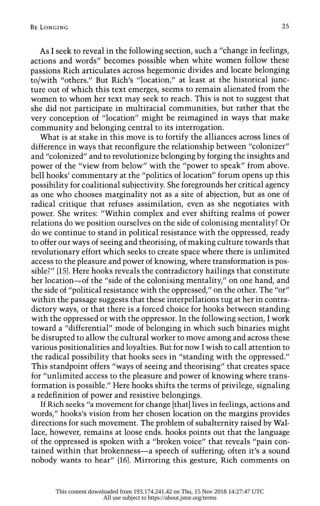As I seek to reveal in the following section, such a "change in feelings, actions and words" becomes possible when white women follow these passions Rich articulates across hegemonic divides and locate belonging to/with "others." But Rich's "location," at least at the historical junc ture out of which this text emerges, seems to remain alienated from the women to whom her text may seek to reach. This is not to suggest that she did not participate in multiracial communities, but rather that the very conception of "location" might be reimagined in ways that make community and belonging central to its interrogation.

 What is at stake in this move is to fortify the alliances across lines of difference in ways that reconfigure the relationship between "colonizer" and "colonized" and to revolutionize belonging by forging the insights and power of the "view from below" with the "power to speak" from above. bell hooks' commentary at the "politics of location" forum opens up this possibility for coalitional subjectivity. She foregrounds her critical agency as one who chooses marginality not as a site of abjection, but as one of radical critique that refuses assimilation, even as she negotiates with power. She writes: "Within complex and ever shifting realms of power relations do we position ourselves on the side of colonising mentality? Or do we continue to stand in political resistance with the oppressed, ready to offer our ways of seeing and theorising, of making culture towards that revolutionary effort which seeks to create space where there is unlimited access to the pleasure and power of knowing, where transformation is pos sible?" (15). Here hooks reveals the contradictory hailings that constitute her location-of the "side of the colonising mentality," on one hand, and the side of "political resistance with the oppressed," on the other. The "or" within the passage suggests that these interpellations tug at her in contra dictory ways, or that there is a forced choice for hooks between standing with the oppressed or with the oppressor. In the following section, I work toward a "differential" mode of belonging in which such binaries might be disrupted to allow the cultural worker to move among and across these various positionalities and loyalties. But for now I wish to call attention to the radical possibility that hooks sees in "standing with the oppressed." This standpoint offers "ways of seeing and theorising" that creates space for "unlimited access to the pleasure and power of knowing where trans formation is possible." Here hooks shifts the terms of privilege, signaling a redefinition of power and resistive belongings.

 If Rich seeks "a movement for change [that] lives in feelings, actions and words," hooks's vision from her chosen location on the margins provides directions for such movement. The problem of subalternity raised by Wal lace, however, remains at loose ends. hooks points out that the language of the oppressed is spoken with a "broken voice" that reveals "pain con tained within that brokenness—a speech of suffering; often it's a sound nobody wants to hear" (16). Mirroring this gesture, Rich comments on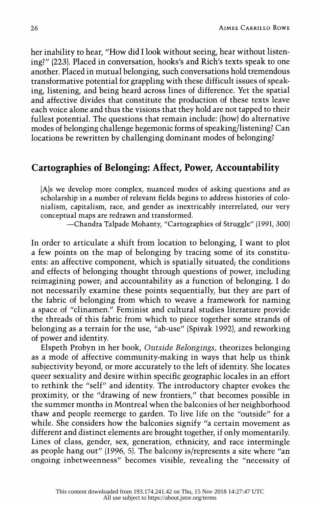her inability to hear, "How did I look without seeing, hear without listen ing?" (223). Placed in conversation, hooks's and Rich's texts speak to one another. Placed in mutual belonging, such conversations hold tremendous transformative potential for grappling with these difficult issues of speak ing, listening, and being heard across lines of difference. Yet the spatial and affective divides that constitute the production of these texts leave each voice alone and thus the visions that they hold are not tapped to their fullest potential. The questions that remain include: (how) do alternative modes of belonging challenge hegemonic forms of speaking/listening? Can locations be rewritten by challenging dominant modes of belonging?

### Cartographies of Belonging: Affect, Power, Accountability

 [A]s we develop more complex, nuanced modes of asking questions and as scholarship in a number of relevant fields begins to address histories of colo nialism, capitalism, race, and gender as inextricably interrelated, our very conceptual maps are redrawn and transformed.

-Chandra Talpade Mohanty, "Cartographies of Struggle" (1991, 300)

 In order to articulate a shift from location to belonging, I want to plot a few points on the map of belonging by tracing some of its constitu ents: an affective component, which is spatially situated; the conditions and effects of belonging thought through questions of power, including reimagining power; and accountability as a function of belonging. I do not necessarily examine these points sequentially, but they are part of the fabric of belonging from which to weave a framework for naming a space of "clinamen." Feminist and cultural studies literature provide the threads of this fabric from which to piece together some strands of belonging as a terrain for the use, "ab-use" (Spivak 1992), and reworking of power and identity.

 Elspeth Probyn in her book, Outside Belongings, theorizes belonging as a mode of affective community-making in ways that help us think subjectivity beyond, or more accurately to the left of identity. She locates queer sexuality and desire within specific geographic locales in an effort to rethink the "self" and identity. The introductory chapter evokes the proximity, or the "drawing of new frontiers," that becomes possible in the summer months in Montreal when the balconies of her neighborhood thaw and people reemerge to garden. To live life on the "outside" for a while. She considers how the balconies signify "a certain movement as different and distinct elements are brought together, if only momentarily. Lines of class, gender, sex, generation, ethnicity, and race intermingle as people hang out" (1996, 5). The balcony is/represents a site where "an ongoing inbetweenness" becomes visible, revealing the "necessity of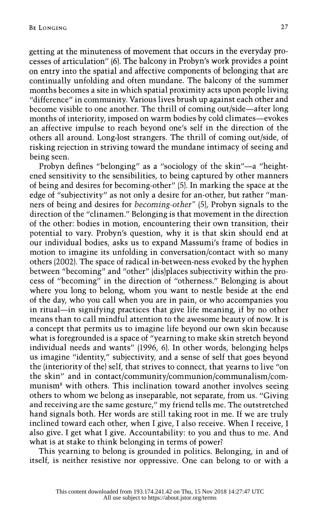getting at the minuteness of movement that occurs in the everyday pro cesses of articulation" (6). The balcony in Probyn's work provides a point on entry into the spatial and affective components of belonging that are continually unfolding and often mundane. The balcony of the summer months becomes a site in which spatial proximity acts upon people living "difference" in community. Various lives brush up against each other and become visible to one another. The thrill of coming out/side-after long months of interiority, imposed on warm bodies by cold climates-evokes an affective impulse to reach beyond one's self in the direction of the others all around. Long-lost strangers. The thrill of coming out/side, of risking rejection in striving toward the mundane intimacy of seeing and being seen.

Probyn defines "belonging" as a "sociology of the skin"—a "height ened sensitivity to the sensibilities, to being captured by other manners of being and desires for becoming-other" (5). In marking the space at the edge of "subjectivity" as not only a desire for an-other, but rather "man ners of being and desires for becoming-other" (5), Probyn signals to the direction of the "clinamen." Belonging is that movement in the direction of the other: bodies in motion, encountering their own transition, their potential to vary. Probyn's question, why it is that skin should end at our individual bodies, asks us to expand Massumi's frame of bodies in motion to imagine its unfolding in conversation/contact with so many others (2002). The space of radical in-between-ness evoked by the hyphen between "becoming" and "other" (dis)places subjectivity within the pro cess of "becoming" in the direction of "otherness." Belonging is about where you long to belong, whom you want to nestle beside at the end of the day, who you call when you are in pain, or who accompanies you in ritual—in signifying practices that give life meaning, if by no other means than to call mindful attention to the awesome beauty of now. It is a concept that permits us to imagine life beyond our own skin because what is foregrounded is a space of "yearning to make skin stretch beyond individual needs and wants" (1996, 6). In other words, belonging helps us imagine "identity," subjectivity, and a sense of self that goes beyond the (interiority of the) self, that strives to connect, that yearns to live "on the skin" and in contact/community/communion/communalism/com munism<sup>8</sup> with others. This inclination toward another involves seeing others to whom we belong as inseparable, not separate, from us. "Giving and receiving are the same gesture," my friend tells me. The outstretched hand signals both. Her words are still taking root in me. If we are truly inclined toward each other, when I give, I also receive. When I receive, I also give. I get what I give. Accountability: to you and thus to me. And what is at stake to think belonging in terms of power?

 This yearning to belong is grounded in politics. Belonging, in and of itself, is neither resistive nor oppressive. One can belong to or with a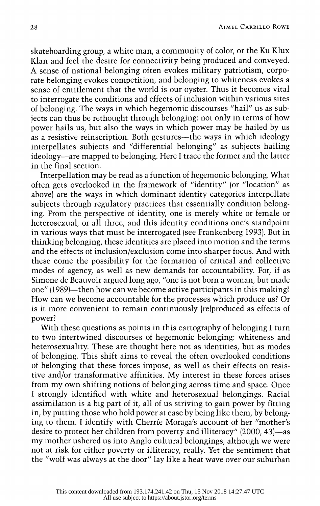skateboarding group, a white man, a community of color, or the Ku Klux Klan and feel the desire for connectivity being produced and conveyed. A sense of national belonging often evokes military patriotism, corpo rate belonging evokes competition, and belonging to whiteness evokes a sense of entitlement that the world is our oyster. Thus it becomes vital to interrogate the conditions and effects of inclusion within various sites of belonging. The ways in which hegemonic discourses "hail" us as sub jects can thus be rethought through belonging: not only in terms of how power hails us, but also the ways in which power may be hailed by us as a resistive reinscription. Both gestures—the ways in which ideology interpellates subjects and "differential belonging" as subjects hailing ideology-are mapped to belonging. Here I trace the former and the latter in the final section.

 Interpellation may be read as a function of hegemonic belonging. What often gets overlooked in the framework of "identity" (or "location" as above) are the ways in which dominant identity categories interpellate subjects through regulatory practices that essentially condition belong ing. From the perspective of identity, one is merely white or female or heterosexual, or all three, and this identity conditions one's standpoint in various ways that must be interrogated (see Frankenberg 1993). But in thinking belonging, these identities are placed into motion and the terms and the effects of inclusion/exclusion come into sharper focus. And with these come the possibility for the formation of critical and collective modes of agency, as well as new demands for accountability. For, if as Simone de Beauvoir argued long ago, "one is not born a woman, but made one" (1989)—then how can we become active participants in this making? How can we become accountable for the processes which produce us? Or is it more convenient to remain continuously (re)produced as effects of power?

 With these questions as points in this cartography of belonging I turn to two intertwined discourses of hegemonic belonging: whiteness and heterosexuality. These are thought here not as identities, but as modes of belonging. This shift aims to reveal the often overlooked conditions of belonging that these forces impose, as well as their effects on resis tive and/or transformative affinities. My interest in these forces arises from my own shifting notions of belonging across time and space. Once I strongly identified with white and heterosexual belongings. Racial assimilation is a big part of it, all of us striving to gain power by fitting in, by putting those who hold power at ease by being like them, by belong ing to them. I identify with Cherrie Moraga's account of her "mother's desire to protect her children from poverty and illiteracy" (2000, 43)—as my mother ushered us into Anglo cultural belongings, although we were not at risk for either poverty or illiteracy, really. Yet the sentiment that the "wolf was always at the door" lay like a heat wave over our suburban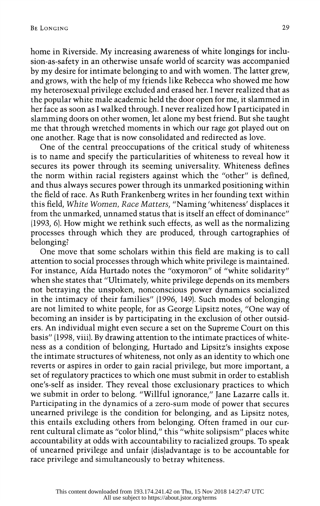home in Riverside. My increasing awareness of white longings for inclu sion-as-safety in an otherwise unsafe world of scarcity was accompanied by my desire for intimate belonging to and with women. The latter grew, and grows, with the help of my friends like Rebecca who showed me how my heterosexual privilege excluded and erased her. I never realized that as the popular white male academic held the door open for me, it slammed in her face as soon as I walked through. I never realized how I participated in slamming doors on other women, let alone my best friend. But she taught me that through wretched moments in which our rage got played out on one another. Rage that is now consolidated and redirected as love.

 One of the central preoccupations of the critical study of whiteness is to name and specify the particularities of whiteness to reveal how it secures its power through its seeming universality. Whiteness defines the norm within racial registers against which the "other" is defined, and thus always secures power through its unmarked positioning within the field of race. As Ruth Frankenberg writes in her founding text within this field, White Women, Race Matters, "Naming 'whiteness' displaces it from the unmarked, unnamed status that is itself an effect of dominance" (1993, 6). How might we rethink such effects, as well as the normalizing processes through which they are produced, through cartographies of belonging?

 One move that some scholars within this field are making is to call attention to social processes through which white privilege is maintained. For instance, Aida Hurtado notes the "oxymoron" of "white solidarity" when she states that "Ultimately, white privilege depends on its members not betraying the unspoken, nonconscious power dynamics socialized in the intimacy of their families" (1996, 149). Such modes of belonging are not limited to white people, for as George Lipsitz notes, "One way of becoming an insider is by participating in the exclusion of other outsid ers. An individual might even secure a set on the Supreme Court on this basis" (1998, viii). By drawing attention to the intimate practices of white ness as a condition of belonging, Hurtado and Lipsitz's insights expose the intimate structures of whiteness, not only as an identity to which one reverts or aspires in order to gain racial privilege, but more important, a set of regulatory practices to which one must submit in order to establish one's-self as insider. They reveal those exclusionary practices to which we submit in order to belong. "Willful ignorance," Jane Lazarre calls it. Participating in the dynamics of a zero-sum mode of power that secures unearned privilege is the condition for belonging, and as Lipsitz notes, this entails excluding others from belonging. Often framed in our cur rent cultural climate as "color blind," this "white solipsism" places white accountability at odds with accountability to racialized groups. To speak of unearned privilege and unfair (dis)advantage is to be accountable for race privilege and simultaneously to betray whiteness.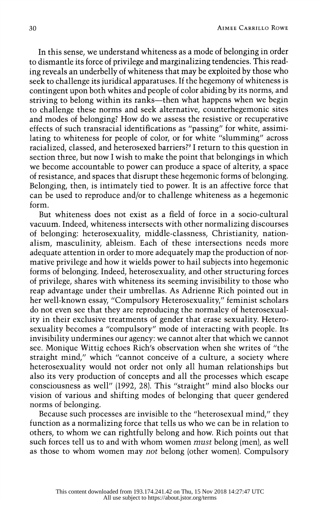In this sense, we understand whiteness as a mode of belonging in order to dismantle its force of privilege and marginalizing tendencies. This read ing reveals an underbelly of whiteness that may be exploited by those who seek to challenge its juridical apparatuses. If the hegemony of whiteness is contingent upon both whites and people of color abiding by its norms, and striving to belong within its ranks—then what happens when we begin to challenge these norms and seek alternative, counterhegemonic sites and modes of belonging? How do we assess the resistive or recuperative effects of such transracial identifications as "passing" for white, assimi lating to whiteness for people of color, or for white "slumming" across racialized, classed, and heterosexed barriers?<sup>9</sup> I return to this question in section three, but now I wish to make the point that belongings in which we become accountable to power can produce a space of alterity, a space of resistance, and spaces that disrupt these hegemonic forms of belonging. Belonging, then, is intimately tied to power. It is an affective force that can be used to reproduce and/or to challenge whiteness as a hegemonic form.

 But whiteness does not exist as a field of force in a socio-cultural vacuum. Indeed, whiteness intersects with other normalizing discourses of belonging: heterosexuality, middle-classness, Christianity, nation alism, masculinity, ableism. Each of these intersections needs more adequate attention in order to more adequately map the production of nor mative privilege and how it wields power to hail subjects into hegemonic forms of belonging. Indeed, heterosexuality, and other structuring forces of privilege, shares with whiteness its seeming invisibility to those who reap advantage under their umbrellas. As Adrienne Rich pointed out in her well-known essay, "Compulsory Heterosexuality," feminist scholars do not even see that they are reproducing the normalcy of heterosexual ity in their exclusive treatments of gender that erase sexuality. Hetero sexuality becomes a "compulsory" mode of interacting with people. Its invisibility undermines our agency: we cannot alter that which we cannot see. Monique Wittig echoes Rich's observation when she writes of "the straight mind," which "cannot conceive of a culture, a society where heterosexuality would not order not only all human relationships but also its very production of concepts and all the processes which escape consciousness as well" (1992, 28). This "straight" mind also blocks our vision of various and shifting modes of belonging that queer gendered norms of belonging.

 Because such processes are invisible to the "heterosexual mind," they function as a normalizing force that tells us who we can be in relation to others, to whom we can rightfully belong and how. Rich points out that such forces tell us to and with whom women must belong (men), as well as those to whom women may not belong (other women). Compulsory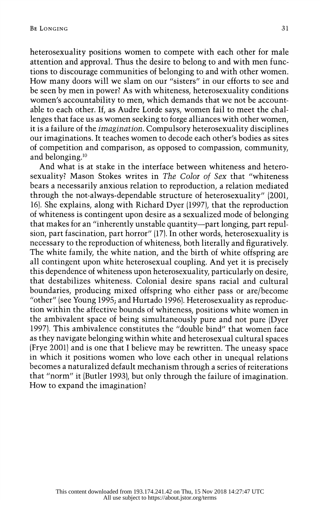heterosexuality positions women to compete with each other for male attention and approval. Thus the desire to belong to and with men func tions to discourage communities of belonging to and with other women. How many doors will we slam on our "sisters" in our efforts to see and be seen by men in power? As with whiteness, heterosexuality conditions women's accountability to men, which demands that we not be account able to each other. If, as Audre Lorde says, women fail to meet the chal lenges that face us as women seeking to forge alliances with other women, it is a failure of the imagination. Compulsory heterosexuality disciplines our imaginations. It teaches women to decode each other's bodies as sites of competition and comparison, as opposed to compassion, community, and belonging.'0

 And what is at stake in the interface between whiteness and hetero sexuality? Mason Stokes writes in The Color of Sex that "whiteness bears a necessarily anxious relation to reproduction, a relation mediated through the not-always-dependable structure of heterosexuality" (2001, 16). She explains, along with Richard Dyer (1997), that the reproduction of whiteness is contingent upon desire as a sexualized mode of belonging that makes for an "inherently unstable quantity—part longing, part repul sion, part fascination, part horror" (17). In other words, heterosexuality is necessary to the reproduction of whiteness, both literally and figuratively. The white family, the white nation, and the birth of white offspring are all contingent upon white heterosexual coupling. And yet it is precisely this dependence of whiteness upon heterosexuality, particularly on desire, that destabilizes whiteness. Colonial desire spans racial and cultural boundaries, producing mixed offspring who either pass or are/become "other" (see Young 1995; and Hurtado 1996). Heterosexuality as reproduc tion within the affective bounds of whiteness, positions white women in the ambivalent space of being simultaneously pure and not pure (Dyer 1997). This ambivalence constitutes the "double bind" that women face as they navigate belonging within white and heterosexual cultural spaces (Frye 2001) and is one that I believe may be rewritten. The uneasy space in which it positions women who love each other in unequal relations becomes a naturalized default mechanism through a series of reiterations that "norm" it (Butler 1993), but only through the failure of imagination. How to expand the imagination?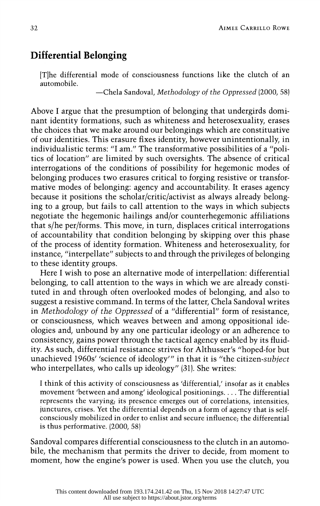### Differential Belonging

 [Tihe differential mode of consciousness functions like the clutch of an automobile.

-Chela Sandoval, Methodology of the Oppressed (2000, 58)

 Above I argue that the presumption of belonging that undergirds domi nant identity formations, such as whiteness and heterosexuality, erases the choices that we make around our belongings which are constituative of our identities. This erasure fixes identity, however unintentionally, in individualistic terms: "I am." The transformative possibilities of a "poli tics of location" are limited by such oversights. The absence of critical interrogations of the conditions of possibility for hegemonic modes of belonging produces two erasures critical to forging resistive or transfor mative modes of belonging: agency and accountability. It erases agency because it positions the scholar/critic/activist as always already belong ing to a group, but fails to call attention to the ways in which subjects negotiate the hegemonic hailings and/or counterhegemonic affiliations that s/he per/forms. This move, in turn, displaces critical interrogations of accountability that condition belonging by skipping over this phase of the process of identity formation. Whiteness and heterosexuality, for instance, "interpellate" subjects to and through the privileges of belonging to these identity groups.

 Here I wish to pose an alternative mode of interpellation: differential belonging, to call attention to the ways in which we are already consti tuted in and through often overlooked modes of belonging, and also to suggest a resistive command. In terms of the latter, Chela Sandoval writes in Methodology of the Oppressed of a "differential" form of resistance, or consciousness, which weaves between and among oppositional ide ologies and, unbound by any one particular ideology or an adherence to consistency, gains power through the tactical agency enabled by its fluid ity. As such, differential resistance strives for Althusser's "hoped-for but unachieved 1960s' 'science of ideology"' in that it is "the citizen-subject who interpellates, who calls up ideology" (31). She writes:

 I think of this activity of consciousness as 'differential,' insofar as it enables movement 'between and among' ideological positionings.... The differential represents the varying; its presence emerges out of correlations, intensities, junctures, crises. Yet the differential depends on a form of agency that is self consciously mobilized in order to enlist and secure influence; the differential is thus performative. (2000, 58)

 Sandoval compares differential consciousness to the clutch in an automo bile, the mechanism that permits the driver to decide, from moment to moment, how the engine's power is used. When you use the clutch, you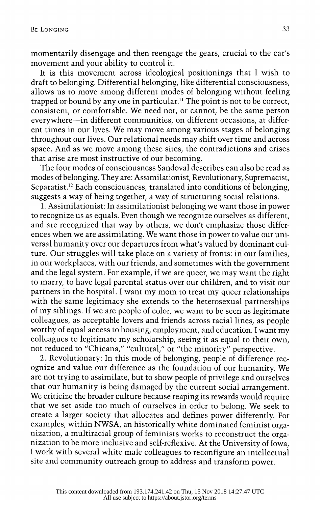momentarily disengage and then reengage the gears, crucial to the car's movement and your ability to control it.

 It is this movement across ideological positionings that I wish to draft to belonging. Differential belonging, like differential consciousness, allows us to move among different modes of belonging without feeling trapped or bound by any one in particular.<sup>11</sup> The point is not to be correct, consistent, or comfortable. We need not, or cannot, be the same person everywhere-in different communities, on different occasions, at differ ent times in our lives. We may move among various stages of belonging throughout our lives. Our relational needs may shift over time and across space. And as we move among these sites, the contradictions and crises that arise are most instructive of our becoming.

 The four modes of consciousness Sandoval describes can also be read as modes of belonging. They are: Assimilationist, Revolutionary, Supremacist, Separatist.<sup>12</sup> Each consciousness, translated into conditions of belonging, suggests a way of being together, a way of structuring social relations.

 1. Assimilationist: In assimilationist belonging we want those in power to recognize us as equals. Even though we recognize ourselves as different, and are recognized that way by others, we don't emphasize those differ ences when we are assimilating. We want those in power to value our uni versal humanity over our departures from what's valued by dominant cul ture. Our struggles will take place on a variety of fronts: in our families, in our workplaces, with our friends, and sometimes with the government and the legal system. For example, if we are queer, we may want the right to marry, to have legal parental status over our children, and to visit our partners in the hospital. I want my mom to treat my queer relationships with the same legitimacy she extends to the heterosexual partnerships of my siblings. If we are people of color, we want to be seen as legitimate colleagues, as acceptable lovers and friends across racial lines, as people worthy of equal access to housing, employment, and education. I want my colleagues to legitimate my scholarship, seeing it as equal to their own, not reduced to "Chicana," "cultural," or "the minority" perspective.

 2. Revolutionary: In this mode of belonging, people of difference rec ognize and value our difference as the foundation of our humanity. We are not trying to assimilate, but to show people of privilege and ourselves that our humanity is being damaged by the current social arrangement. We criticize the broader culture because reaping its rewards would require that we set aside too much of ourselves in order to belong. We seek to create a larger society that allocates and defines power differently. For examples, within NWSA, an historically white dominated feminist orga nization, a multiracial group of feminists works to reconstruct the orga nization to be more inclusive and self-reflexive. At the University of Iowa, I work with several white male colleagues to reconfigure an intellectual site and community outreach group to address and transform power.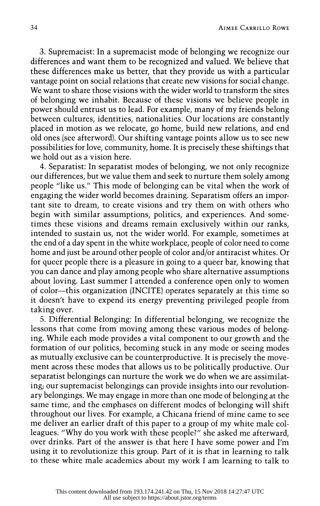3. Supremacist: In a supremacist mode of belonging we recognize our differences and want them to be recognized and valued. We believe that these differences make us better, that they provide us with a particular vantage point on social relations that create new visions for social change. We want to share those visions with the wider world to transform the sites of belonging we inhabit. Because of these visions we believe people in power should entrust us to lead. For example, many of my friends belong between cultures, identities, nationalities. Our locations are constantly placed in motion as we relocate, go home, build new relations, and end old ones (see afterword). Our shifting vantage points allow us to see new possibilities for love, community, home. It is precisely these shiftings that we hold out as a vision here.

 4. Separatist: In separatist modes of belonging, we not only recognize our differences, but we value them and seek to nurture them solely among people "like us." This mode of belonging can be vital when the work of engaging the wider world becomes draining. Separatism offers an impor tant site to dream, to create visions and try them on with others who begin with similar assumptions, politics, and experiences. And some times these visions and dreams remain exclusively within our ranks, intended to sustain us, not the wider world. For example, sometimes at the end of a day spent in the white workplace, people of color need to come home and just be around other people of color and/or antiracist whites. Or for queer people there is a pleasure in going to a queer bar, knowing that you can dance and play among people who share alternative assumptions about loving. Last summer I attended a conference open only to women of color-this organization (INCITE) operates separately at this time so it doesn't have to expend its energy preventing privileged people from taking over.

 5. Differential Belonging: In differential belonging, we recognize the lessons that come from moving among these various modes of belong ing. While each mode provides a vital component to our growth and the formation of our politics, becoming stuck in any mode or seeing modes as mutually exclusive can be counterproductive. It is precisely the move ment across these modes that allows us to be politically productive. Our separatist belongings can nurture the work we do when we are assimilat ing; our supremacist belongings can provide insights into our revolution ary belongings. We may engage in more than one mode of belonging at the same time, and the emphases on different modes of belonging will shift throughout our lives. For example, a Chicana friend of mine came to see me deliver an earlier draft of this paper to a group of my white male col leagues. "Why do you work with these people?" she asked me afterward, over drinks. Part of the answer is that here I have some power and I'm using it to revolutionize this group. Part of it is that in learning to talk to these white male academics about my work I am learning to talk to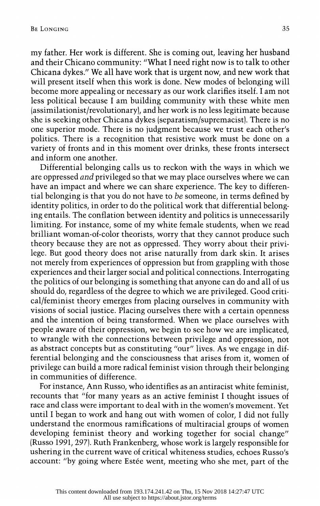<sup>35</sup><br>my father. Her work is different. She is coming out, leaving her husband<br>and their Chicano community: "What I need right now is to talk to other and their Chicano community: "What I need right now is to talk to other Chicana dykes." We all have work that is urgent now, and new work that will present itself when this work is done. New modes of belonging will become more appealing or necessary as our work clarifies itself. I am not less political because I am building community with these white men (assimilationist/revolutionary), and her work is no less legitimate because she is seeking other Chicana dykes (separatism/supremacist). There is no one superior mode. There is no judgment because we trust each other's politics. There is a recognition that resistive work must be done on a variety of fronts and in this moment over drinks, these fronts intersect and inform one another.

 Differential belonging calls us to reckon with the ways in which we are oppressed and privileged so that we may place ourselves where we can have an impact and where we can share experience. The key to differen tial belonging is that you do not have to be someone, in terms defined by identity politics, in order to do the political work that differential belong ing entails. The conflation between identity and politics is unnecessarily limiting. For instance, some of my white female students, when we read brilliant woman-of-color theorists, worry that they cannot produce such theory because they are not as oppressed. They worry about their privi lege. But good theory does not arise naturally from dark skin. It arises not merely from experiences of oppression but from grappling with those experiences and their larger social and political connections. Interrogating the politics of our belonging is something that anyone can do and all of us should do, regardless of the degree to which we are privileged. Good criti cal/feminist theory emerges from placing ourselves in community with visions of social justice. Placing ourselves there with a certain openness and the intention of being transformed. When we place ourselves with people aware of their oppression, we begin to see how we are implicated, to wrangle with the connections between privilege and oppression, not as abstract concepts but as constituting "our" lives. As we engage in dif ferential belonging and the consciousness that arises from it, women of privilege can build a more radical feminist vision through their belonging in communities of difference.

 For instance, Ann Russo, who identifies as an antiracist white feminist, recounts that "for many years as an active feminist I thought issues of race and class were important to deal with in the women's movement. Yet until I began to work and hang out with women of color, I did not fully understand the enormous ramifications of multiracial groups of women developing feminist theory and working together for social change" (Russo 1991, 297). Ruth Frankenberg, whose work is largely responsible for ushering in the current wave of critical whiteness studies, echoes Russo's account: "by going where Estée went, meeting who she met, part of the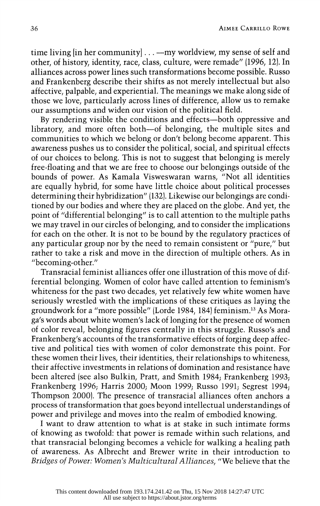time living  $\left[$  in her community $\left[ \ldots \right]$  - my worldview, my sense of self and other, of history, identity, race, class, culture, were remade" (1996, 12). In alliances across power lines such transformations become possible. Russo and Frankenberg describe their shifts as not merely intellectual but also affective, palpable, and experiential. The meanings we make along side of those we love, particularly across lines of difference, allow us to remake our assumptions and widen our vision of the political field.

By rendering visible the conditions and effects—both oppressive and libratory, and more often both-of belonging, the multiple sites and communities to which we belong or don't belong become apparent. This awareness pushes us to consider the political, social, and spiritual effects of our choices to belong. This is not to suggest that belonging is merely free-floating and that we are free to choose our belongings outside of the bounds of power. As Kamala Visweswaran warns, "Not all identities are equally hybrid, for some have little choice about political processes determining their hybridization" (132). Likewise our belongings are condi tioned by our bodies and where they are placed on the globe. And yet, the point of "differential belonging" is to call attention to the multiple paths we may travel in our circles of belonging, and to consider the implications for each on the other. It is not to be bound by the regulatory practices of any particular group nor by the need to remain consistent or "pure," but rather to take a risk and move in the direction of multiple others. As in "becoming-other."

 Transracial feminist alliances offer one illustration of this move of dif ferential belonging. Women of color have called attention to feminism's whiteness for the past two decades, yet relatively few white women have seriously wrestled with the implications of these critiques as laying the groundwork for a "more possible" (Lorde 1984, 184) feminism.'3 As Mora ga's words about white women's lack of longing for the presence of women of color reveal, belonging figures centrally in this struggle. Russo's and Frankenberg's accounts of the transformative effects of forging deep affec tive and political ties with women of color demonstrate this point. For these women their lives, their identities, their relationships to whiteness, their affective investments in relations of domination and resistance have been altered (see also Bulkin, Pratt, and Smith 1984; Frankenberg 1993; Frankenberg 1996; Harris 2000; Moon 1999; Russo 1991; Segrest 1994; Thompson 2000). The presence of transracial alliances often anchors a process of transformation that goes beyond intellectual understandings of power and privilege and moves into the realm of embodied knowing.

 I want to draw attention to what is at stake in such intimate forms of knowing as twofold: that power is remade within such relations, and that transracial belonging becomes a vehicle for walking a healing path of awareness. As Albrecht and Brewer write in their introduction to Bridges of Power: Women's Multicultural Alliances, "We believe that the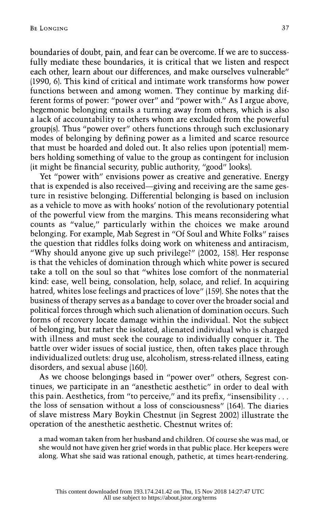BE LONGING<br>boundaries of doubt, pain, and fear can be overcome. If we are to success-<br>fully mediate these boundaries, it is critical that we listen and respect fully mediate these boundaries, it is critical that we listen and respect each other, learn about our differences, and make ourselves vulnerable" (1990, 6). This kind of critical and intimate work transforms how power functions between and among women. They continue by marking dif ferent forms of power: "power over" and "power with." As I argue above, hegemonic belonging entails a turning away from others, which is also a lack of accountability to others whom are excluded from the powerful group(s). Thus "power over" others functions through such exclusionary modes of belonging by defining power as a limited and scarce resource that must be hoarded and doled out. It also relies upon (potential) mem bers holding something of value to the group as contingent for inclusion (it might be financial security, public authority, "good" looks).

 Yet "power with" envisions power as creative and generative. Energy that is expended is also received—giving and receiving are the same ges ture in resistive belonging. Differential belonging is based on inclusion as a vehicle to move as with hooks' notion of the revolutionary potential of the powerful view from the margins. This means reconsidering what counts as "value," particularly within the choices we make around belonging. For example, Mab Segrest in "Of Soul and White Folks" raises the question that riddles folks doing work on whiteness and antiracism, "Why should anyone give up such privilege?" (2002, 158). Her response is that the vehicles of domination through which white power is secured take a toll on the soul so that "whites lose comfort of the nonmaterial kind: ease, well being, consolation, help, solace, and relief. In acquiring hatred, whites lose feelings and practices of love" (159). She notes that the business of therapy serves as a bandage to cover over the broader social and political forces through which such alienation of domination occurs. Such forms of recovery locate damage within the individual. Not the subject of belonging, but rather the isolated, alienated individual who is charged with illness and must seek the courage to individually conquer it. The battle over wider issues of social justice, then, often takes place through individualized outlets: drug use, alcoholism, stress-related illness, eating disorders, and sexual abuse (160).

 As we choose belongings based in "power over" others, Segrest con tinues, we participate in an "anesthetic aesthetic" in order to deal with this pain. Aesthetics, from "to perceive," and its prefix, "insensibility. . . the loss of sensation without a loss of consciousness" (164). The diaries of slave mistress Mary Boykin Chestnut (in Segrest 2002) illustrate the operation of the anesthetic aesthetic. Chestnut writes of:

 a mad woman taken from her husband and children. Of course she was mad, or she would not have given her grief words in that public place. Her keepers were along. What she said was rational enough, pathetic, at times heart-rendering.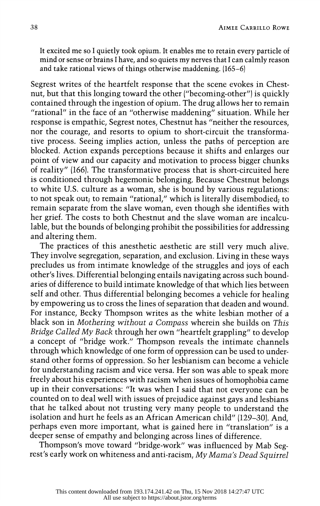It excited me so I quietly took opium. It enables me to retain every particle of It excited me so I quietly took opium. It enables me to retain every particle of<br>mind or sense or brains I have, and so quiets my nerves that I can calmly reason<br>and taken wise algins a solution of the sense of the sense o mind or sense or brains I have, and so quiets my nerves that I can calmly reason<br>and take rational views of things otherwise maddening. (165–6)

 Segrest writes of the heartfelt response that the scene evokes in Chest nut, but that this longing toward the other ("becoming-other") is quickly contained through the ingestion of opium. The drug allows her to remain "rational" in the face of an "otherwise maddening" situation. While her response is empathic, Segrest notes, Chestnut has "neither the resources, nor the courage, and resorts to opium to short-circuit the transforma tive process. Seeing implies action, unless the paths of perception are blocked. Action expands perceptions because it shifts and enlarges our point of view and our capacity and motivation to process bigger chunks of reality" (166). The transformative process that is short-circuited here is conditioned through hegemonic belonging. Because Chestnut belongs to white U.S. culture as a woman, she is bound by various regulations: to not speak out; to remain "rational," which is literally disembodied; to remain separate from the slave woman, even though she identifies with her grief. The costs to both Chestnut and the slave woman are incalcu lable, but the bounds of belonging prohibit the possibilities for addressing and altering them.

 The practices of this anesthetic aesthetic are still very much alive. They involve segregation, separation, and exclusion. Living in these ways precludes us from intimate knowledge of the struggles and joys of each other's lives. Differential belonging entails navigating across such bound aries of difference to build intimate knowledge of that which lies between self and other. Thus differential belonging becomes a vehicle for healing by empowering us to cross the lines of separation that deaden and wound. For instance, Becky Thompson writes as the white lesbian mother of a black son in Mothering without a Compass wherein she builds on This Bridge Called My Back through her own "heartfelt grappling" to develop a concept of "bridge work." Thompson reveals the intimate channels through which knowledge of one form of oppression can be used to under stand other forms of oppression. So her lesbianism can become a vehicle for understanding racism and vice versa. Her son was able to speak more freely about his experiences with racism when issues of homophobia came up in their conversations: "It was when I said that not everyone can be counted on to deal well with issues of prejudice against gays and lesbians that he talked about not trusting very many people to understand the isolation and hurt he feels as an African American child" (129-30). And, perhaps even more important, what is gained here in "translation" is a deeper sense of empathy and belonging across lines of difference.

 Thompson's move toward "bridge-work" was influenced by Mab Seg rest's early work on whiteness and anti-racism, My Mama's Dead Squirrel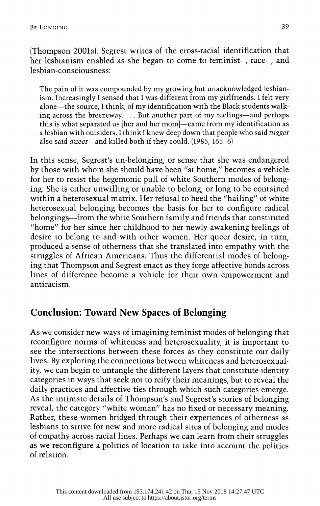(Thompson 2001a). Segrest writes of the cross-racial identification that her lesbianism enabled as she began to come to feminist- , race- , and lesbian-consciousness:

 The pain of it was compounded by my growing but unacknowledged lesbian ism. Increasingly I sensed that I was different from my girlfriends. I felt very alone-the source, I think, of my identification with the Black students walking across the breezeway... But another part of my feelings—and perhaps this is what separated us [her and her mom]-came from my identification as a lesbian with outsiders. I think I knew deep down that people who said *nigger* also said queer-and killed both if they could. (1985, 165-6)

 In this sense, Segrest's un-belonging, or sense that she was endangered by those with whom she should have been "at home," becomes a vehicle for her to resist the hegemonic pull of white Southern modes of belong ing. She is either unwilling or unable to belong, or long to be contained within a heterosexual matrix. Her refusal to heed the "hailing" of white heterosexual belonging becomes the basis for her to configure radical belongings—from the white Southern family and friends that constituted "home" for her since her childhood to her newly awakening feelings of desire to belong to and with other women. Her queer desire, in turn, produced a sense of otherness that she translated into empathy with the struggles of African Americans. Thus the differential modes of belong ing that Thompson and Segrest enact as they forge affective bonds across lines of difference become a vehicle for their own empowerment and antiracism.

### Conclusion: Toward New Spaces of Belonging

 As we consider new ways of imagining feminist modes of belonging that reconfigure norms of whiteness and heterosexuality, it is important to see the intersections between these forces as they constitute our daily lives. By exploring the connections between whiteness and heterosexual ity, we can begin to untangle the different layers that constitute identity categories in ways that seek not to reify their meanings, but to reveal the daily practices and affective ties through which such categories emerge. As the intimate details of Thompson's and Segrest's stories of belonging reveal, the category "white woman" has no fixed or necessary meaning. Rather, these women bridged through their experiences of otherness as lesbians to strive for new and more radical sites of belonging and modes of empathy across racial lines. Perhaps we can learn from their struggles as we reconfigure a politics of location to take into account the politics of relation.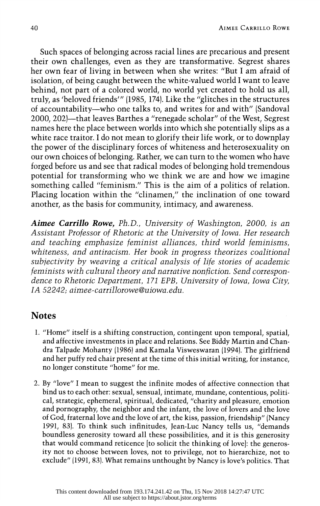Such spaces of belonging across racial lines are precarious and present their own challenges, even as they are transformative. Segrest shares her own fear of living in between when she writes: "But I am afraid of isolation, of being caught between the white-valued world I want to leave behind, not part of a colored world, no world yet created to hold us all, truly, as 'beloved friends"' (1985, 174). Like the "glitches in the structures of accountability-who one talks to, and writes for and with" (Sandoval 2000, 202)-that leaves Barthes a "renegade scholar" of the West, Segrest names here the place between worlds into which she potentially slips as a white race traitor. I do not mean to glorify their life work, or to downplay the power of the disciplinary forces of whiteness and heterosexuality on our own choices of belonging. Rather, we can turn to the women who have forged before us and see that radical modes of belonging hold tremendous potential for transforming who we think we are and how we imagine something called "feminism." This is the aim of a politics of relation. Placing location within the "clinamen," the inclination of one toward another, as the basis for community, intimacy, and awareness.

 Aimee Carrillo Rowe, Ph.D., University of Washington, 2000, is an Assistant Professor of Rhetoric at the University of Iowa. Her research and teaching emphasize feminist alliances, third world feminisms, whiteness, and antiracism. Her book in progress theorizes coalitional subjectivity by weaving a critical analysis of life stories of academic feminists with cultural theory and narrative nonfiction. Send correspon dence to Rhetoric Department, 171 EPB, University of Iowa, Iowa City, IA 52242; aimee-carrillorowe@uiowa. edu.

### **Notes**

- 1. "Home" itself is a shifting construction, contingent upon temporal, spatial, and affective investments in place and relations. See Biddy Martin and Chan dra Talpade Mohanty (1986) and Kamala Visweswaran (1994). The girlfriend and her puffy red chair present at the time of this initial writing, for instance, no longer constitute "home" for me.
- 2. By "love" I mean to suggest the infinite modes of affective connection that bind us to each other: sexual, sensual, intimate, mundane, contentious, politi cal, strategic, ephemeral, spiritual, dedicated, "charity and pleasure, emotion and pornography, the neighbor and the infant, the love of lovers and the love of God, fraternal love and the love of art, the kiss, passion, friendship" (Nancy 1991, 83). To think such infinitudes, Jean-Luc Nancy tells us, "demands boundless generosity toward all these possibilities, and it is this generosity that would command reticence [to solicit the thinking of love]: the generos ity not to choose between loves, not to privilege, not to hierarchize, not to exclude" (1991, 83). What remains unthought by Nancy is love's politics. That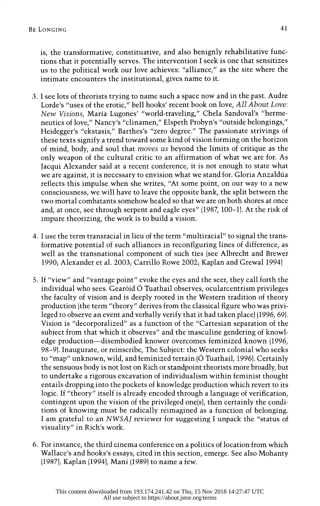is, the transformative, constituative, and also benignly rehabilitative func tions that it potentially serves. The intervention I seek is one that sensitizes us to the political work our love achieves: "alliance," as the site where the intimate encounters the institutional, gives name to it.

- 3. I see lots of theorists trying to name such a space now and in the past. Audre Lorde's "uses of the erotic," bell hooks' recent book on love, All About Love: New Visions, Maria Lugones' "world-traveling," Chela Sandoval's "herme neutics of love," Nancy's "clinamen," Elspeth Probyn's "outside belongings," Heidegger's "ekstasis," Barthes's "zero degree." The passionate strivings of these texts signify a trend toward some kind of vision forming on the horizon of mind, body, and soul that moves us beyond the limits of critique as the only weapon of the cultural critic to an affirmation of what we are for. As Jacqui Alexander said at a recent conference, it is not enough to state what we are against, it is necessary to envision what we stand for. Gloria Anzalduia reflects this impulse when she writes, "At some point, on our way to a new consciousness, we will have to leave the opposite bank, the split between the two mortal combatants somehow healed so that we are on both shores at once and, at once, see through serpent and eagle eyes" (1987, 100-1). At the risk of impure theorizing, the work is to build a vision.
- 4. I use the term transracial in lieu of the term "multiracial" to signal the trans formative potential of such alliances in reconfiguring lines of difference, as well as the transnational component of such ties (see Albrecht and Brewer 1990; Alexander et al. 2003; Carrillo Rowe 2002; Kaplan and Grewal 1994)
- 5. If "view" and "vantage point" evoke the eyes and the seer, they call forth the individual who sees. Gearóid Ó Tuathail observes, ocularcentrism privileges the faculty of vision and is deeply rooted in the Western tradition of theory production (the term "theory" derives from the classical figure who was privi leged to observe an event and verbally verify that it had taken place) (1996, 69). Vision is "decorporalized" as a function of the "Cartesian separation of the subject from that which it observes" and the masculine gendering of knowl edge production-disembodied knower overcomes feminized known (1996, 98-9). Inaugurate, or reinscribe, The Subject: the Western colonial who seeks to "map" unknown, wild, and feminized terrain (O Tuathail, 1996). Certainly the sensuous body is not lost on Rich or standpoint theorists more broadly, but to undertake a rigorous excavation of individualism within feminist thought entails dropping into the pockets of knowledge production which revert to its logic. If "theory" itself is already encoded through a language of verification, contingent upon the vision of the privileged one(s), then certainly the condi tions of knowing must be radically reimagined as a function of belonging. I am grateful to an NWSAJ reviewer for suggesting I unpack the "status of visuality" in Rich's work.
- 6. For instance, the third cinema conference on a politics of location from which Wallace's and hooks's essays, cited in this section, emerge. See also Mohanty (1987), Kaplan (1994), Mani (1989) to name a few.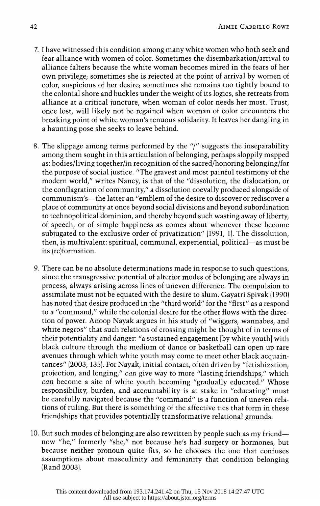- 7. I have witnessed this condition among many white women who both seek and fear alliance with women of color. Sometimes the disembarkation/arrival to alliance falters because the white woman becomes mired in the fears of her own privilege; sometimes she is rejected at the point of arrival by women of color, suspicious of her desire; sometimes she remains too tightly bound to the colonial shore and buckles under the weight of its logics, she retreats from alliance at a critical juncture, when woman of color needs her most. Trust, once lost, will likely not be regained when woman of color encounters the breaking point of white woman's tenuous solidarity. It leaves her dangling in a haunting pose she seeks to leave behind.
- 8. The slippage among terms performed by the "/" suggests the inseparability among them sought in this articulation of belonging, perhaps sloppily mapped as: bodies/living together/in recognition of the sacred/honoring belonging/for the purpose of social justice. "The gravest and most painful testimony of the modern world," writes Nancy, is that of the "dissolution, the dislocation, or the conflagration of community," a dissolution coevally produced alongside of communism's-the latter an "emblem of the desire to discover or rediscover a place of community at once beyond social divisions and beyond subordination to technopolitical dominion, and thereby beyond such wasting away of liberty, of speech, or of simple happiness as comes about whenever these become subjugated to the exclusive order of privatization" (1991, 1). The dissolution, then, is multivalent: spiritual, communal, experiential, political-as must be its (re)formation.
- 9. There can be no absolute determinations made in response to such questions, since the transgressive potential of alterior modes of belonging are always in process, always arising across lines of uneven difference. The compulsion to assimilate must not be equated with the desire to slum. Gavatri Spivak (1990) has noted that desire produced in the "third world" for the "first" as a respond to a "command," while the colonial desire for the other flows with the direc tion of power. Anoop Nayak argues in his study of "wiggers, wannabes, and white negros" that such relations of crossing might be thought of in terms of their potentiality and danger: "a sustained engagement [by white youth] with black culture through the medium of dance or basketball can open up rare avenues through which white youth may come to meet other black acquain tances" (2003, 135). For Nayak, initial contact, often driven by "fetishization, projection, and longing," can give way to more "lasting friendships," which can become a site of white youth becoming "gradually educated." Whose responsibility, burden, and accountability is at stake in "educating" must be carefully navigated because the "command" is a function of uneven rela tions of ruling. But there is something of the affective ties that form in these friendships that provides potentially transformative relational grounds.
- 10. But such modes of belonging are also rewritten by people such as my friend now "he," formerly "she," not because he's had surgery or hormones, but because neither pronoun quite fits, so he chooses the one that confuses assumptions about masculinity and femininity that condition belonging (Rand 2003).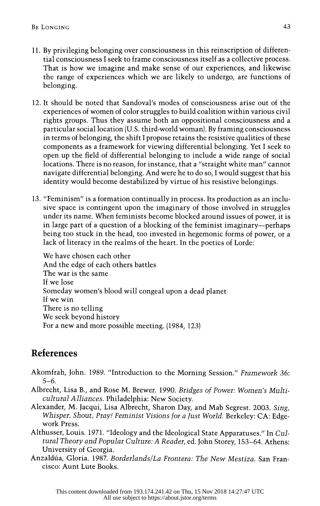- 43<br>11. By privileging belonging over consciousness in this reinscription of differen-<br>11. By privileging belonging over consciousness in this reinscription of differen-<br>tial consciousness I seek to frame consciousness itse tial consciousness I seek to frame consciousness itself as a collective process. That is how we imagine and make sense of our experiences, and likewise the range of experiences which we are likely to undergo, are functions of belonging.
- 12. It should be noted that Sandoval's modes of consciousness arise out of the experiences of women of color struggles to build coalition within various civil rights groups. Thus they assume both an oppositional consciousness and a particular social location (U.S. third-world woman). By framing consciousness in terms of belonging, the shift I propose retains the resistive qualities of these components as a framework for viewing differential belonging. Yet I seek to open up the field of differential belonging to include a wide range of social locations. There is no reason, for instance, that a "straight white man" cannot navigate differential belonging. And were he to do so, I would suggest that his identity would become destabilized by virtue of his resistive belongings.
- 13. "Feminism" is a formation continually in process. Its production as an inclu sive space is contingent upon the imaginary of those involved in struggles under its name. When feminists become blocked around issues of power, it is in large part of a question of a blocking of the feminist imaginary-perhaps being too stuck in the head, too invested in hegemonic forms of power, or a lack of literacy in the realms of the heart. In the poetics of Lorde:

 We have chosen each other And the edge of each others battles The war is the same If we lose Someday women's blood will congeal upon a dead planet If we win There is no telling We seek beyond history For a new and more possible meeting. (1984, 123)

## References

- Akomfrah, John. 1989. "Introduction to the Morning Session." Framework 36: 5-6.
- Albrecht, Lisa B., and Rose M. Brewer. 1990. Bridges of Power: Women's Multi cultural Alliances. Philadelphia: New Society.
- Alexander, M. Jacqui, Lisa Albrecht, Sharon Day, and Mab Segrest. 2003. Sing, Whisper, Shout, Pray! Feminist Visions for a fust World. Berkeley: CA: Edge work Press.
- Althusser, Louis. 1971. "Ideology and the Ideological State Apparatuses." In Cul tural Theory and Popular Culture: A Reader, ed. John Storey, 153-64. Athens: University of Georgia.
- Anzaldia, Gloria. 1987. Borderlands/La Frontera: The New Mestiza. San Fran cisco: Aunt Lute Books.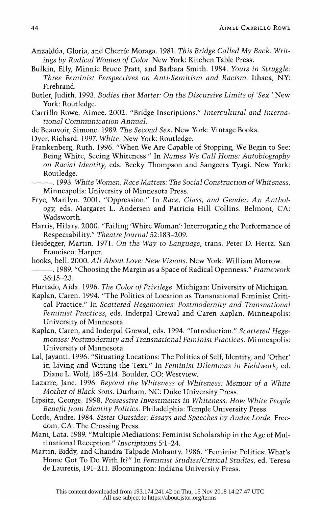- Anzaldua, Gloria, and Cherrie Moraga. 1981. This Bridge Called My Back: Writ ings by Radical Women of Color. New York: Kitchen Table Press.
- Bulkin, Elly, Minnie Bruce Pratt, and Barbara Smith. 1984. Yours in Struggle: Three Feminist Perspectives on Anti-Semitism and Racism. Ithaca, NY: Firebrand.
- Butler, Judith. 1993. Bodies that Matter: On the Discursive Limits of 'Sex.' New York: Routledge.
- Carrillo Rowe, Aimee. 2002. "Bridge Inscriptions." Intercultural and Interna tional Communication Annual.
- de Beauvoir, Simone. 1989. The Second Sex. New York: Vintage Books.
- Dyer, Richard. 1997. White. New York: Routledge.
- Frankenberg, Ruth. 1996. "When We Are Capable of Stopping, We Begin to See: Being White, Seeing Whiteness." In Names We Call Home: Autobiography on Racial Identity, eds. Becky Thompson and Sangeeta Tyagi. New York: Routledge.
	- . 1993. White Women, Race Matters: The Social Construction of Whiteness. Minneapolis: University of Minnesota Press.
- Frye, Marilyn. 2001. "Oppression." In Race, Class, and Gender: An Anthol ogy, eds. Margaret L. Andersen and Patricia Hill Collins. Belmont, CA: Wadsworth.
- Harris, Hilary. 2000. "Failing 'White Woman': Interrogating the Performance of Respectability." Theatre Journal 52:183-209.
- Heidegger, Martin. 1971. On the Way to Language, trans. Peter D. Hertz. San Francisco: Harper.
- hooks, bell. 2000. All About Love: New Visions. New York: William Morrow. . 1989. "Choosing the Margin as a Space of Radical Openness." Framework 36:15-23.
- Hurtado, Aida. 1996. The Color of Privilege. Michigan: University of Michigan.
- Kaplan, Caren. 1994. "The Politics of Location as Transnational Feminist Criti cal Practice." In Scattered Hegemonies: Postmodernity and Transnational Feminist Practices, eds. Inderpal Grewal and Caren Kaplan. Minneapolis: University of Minnesota.
- Kaplan, Caren, and Inderpal Grewal, eds. 1994. "Introduction." Scattered Hege monies: Postmodernity and Transnational Feminist Practices. Minneapolis: University of Minnesota.
- Lal, Jayanti. 1996. "Situating Locations: The Politics of Self, Identity, and 'Other' in Living and Writing the Text." In Feminist Dilemmas in Fieldwork, ed. Diane L. Wolf, 185-214. Boulder, CO: Westview.
- Lazarre, Jane. 1996. Beyond the Whiteness of Whiteness: Memoir of a White Mother of Black Sons. Durham, NC: Duke University Press.
- Lipsitz, George. 1998. Possessive Investments in Whiteness: How White People Benefit from Identity Politics. Philadelphia: Temple University Press.
- Lorde, Audre. 1984. Sister Outsider: Essays and Speeches by Audre Lorde. Free dom, CA: The Crossing Press.
- Mani, Lata. 1989. "Multiple Mediations: Feminist Scholarship in the Age of Mul tinational Reception." Inscriptions 5:1-24.
- Martin, Biddy, and Chandra Talpade Mohanty. 1986. "Feminist Politics: What's Home Got To Do With It?" In Feminist Studies/Critical Studies, ed. Teresa de Lauretis, 191-211. Bloomington: Indiana University Press.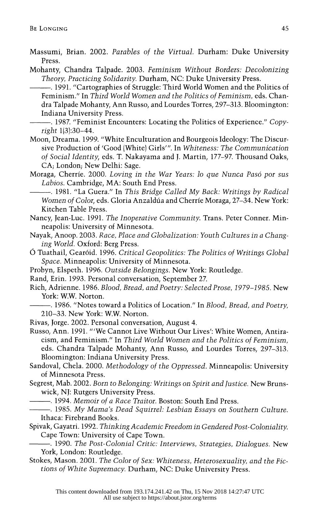- Massumi, Brian. 2002. Parables of the Virtual. Durham: Duke University Press.
- Mohanty, Chandra Talpade. 2003. Feminism Without Borders: Decolonizing Theory, Practicing Solidarity. Durham, NC: Duke University Press.

 . 1991. "Cartographies of Struggle: Third World Women and the Politics of Feminism." In Third World Women and the Politics of Feminism, eds. Chan dra Talpade Mohanty, Ann Russo, and Lourdes Torres, 297-313. Bloomington: Indiana University Press.

 . 1987. "Feminist Encounters: Locating the Politics of Experience." Copy right 1(3):30-44.

 Moon, Dreama. 1999. "White Enculturation and Bourgeois Ideology: The Discur sive Production of 'Good (White) Girls"'. In Whiteness: The Communication of Social Identity, eds. T. Nakayama and J. Martin, 177-97. Thousand Oaks, CA; London; New Delhi: Sage.

Moraga, Cherríe. 2000. Loving in the War Years: lo que Nunca Pasó por sus Labios. Cambridge, MA: South End Press.

 . 1981. "La Guera." In This Bridge Called My Back: Writings by Radical Women of Color, eds. Gloria Anzaldúa and Cherríe Moraga, 27-34. New York: Kitchen Table Press.

- Nancy, Jean-Luc. 1991. The Inoperative Community. Trans. Peter Conner. Minneapolis: University of Minnesota.
- Nayak, Anoop. 2003. Race, Place and Globalization: Youth Cultures in a Chang ing World. Oxford: Berg Press.

 O Tuathail, Gear6id. 1996. Critical Geopolitics: The Politics of Writings Global Space. Minneapolis: University of Minnesota.

- Probyn, Elspeth. 1996. Outside Belongings. New York: Routledge.
- Rand, Erin. 1993. Personal conversation, September 27.
- Rich, Adrienne. 1986. Blood, Bread, and Poetry: Selected Prose, 1979-1985. New York: W.W. Norton.

-. 1986. "Notes toward a Politics of Location." In Blood, Bread, and Poetry, 210-33. New York: W.W. Norton.

Rivas, Jorge. 2002. Personal conversation, August 4.

 Russo, Ann. 1991. "'We Cannot Live Without Our Lives': White Women, Antira cism, and Feminism." In Third World Women and the Politics of Feminism, eds. Chandra Talpade Mohanty, Ann Russo, and Lourdes Torres, 297-313. Bloomington: Indiana University Press.

- Sandoval, Chela. 2000. Methodology of the Oppressed. Minneapolis: University of Minnesota Press.
- Segrest, Mab. 2002. Born to Belonging: Writings on Spirit and justice. New Bruns wick, NJ: Rutgers University Press.

- 1994. Memoir of a Race Traitor. Boston: South End Press.

- 1985. My Mama's Dead Squirrel: Lesbian Essays on Southern Culture. Ithaca: Firebrand Books.
- Spivak, Gayatri. 1992. Thinking Academic Freedom in Gendered Post- Coloniality. Cape Town: University of Cape Town.
	- . 1990. The Post-Colonial Critic: Interviews, Strategies, Dialogues. New York, London: Routledge.
- Stokes, Mason. 2001. The Color of Sex: Whiteness, Heterosexuality, and the Fic tions of White Supremacy. Durham, NC: Duke University Press.